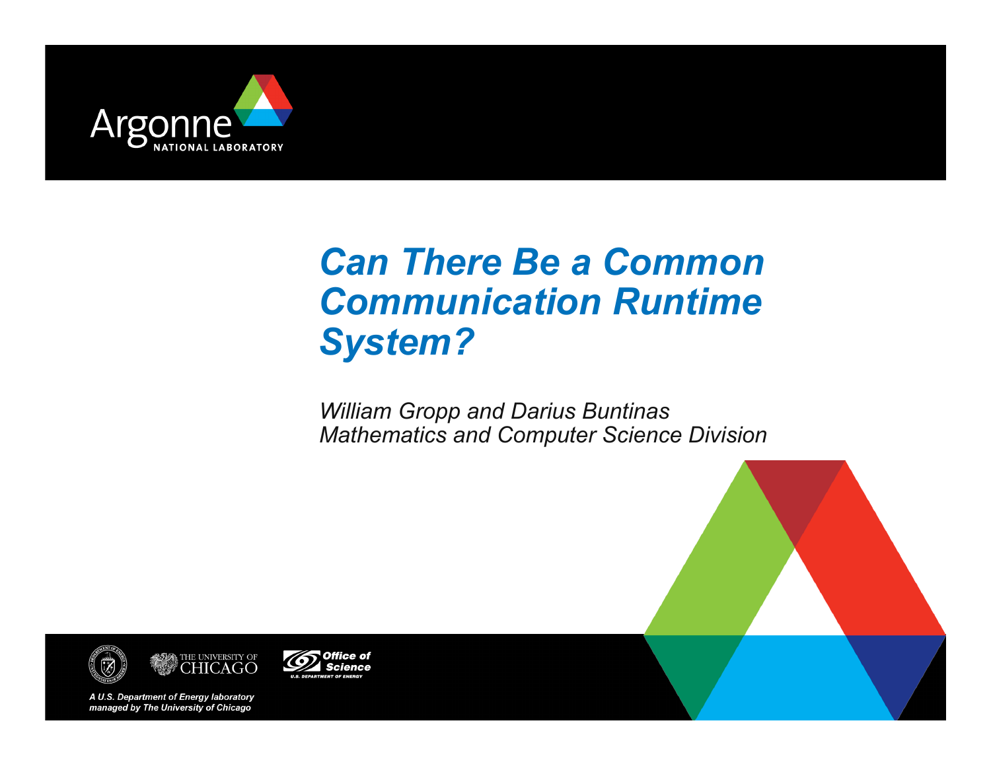

# *Can There Be a Common Communication Runtime System?*

*William Gropp and Darius Buntinas Mathematics and Computer Science Division* 







A U.S. Department of Energy laboratory managed by The University of Chicago

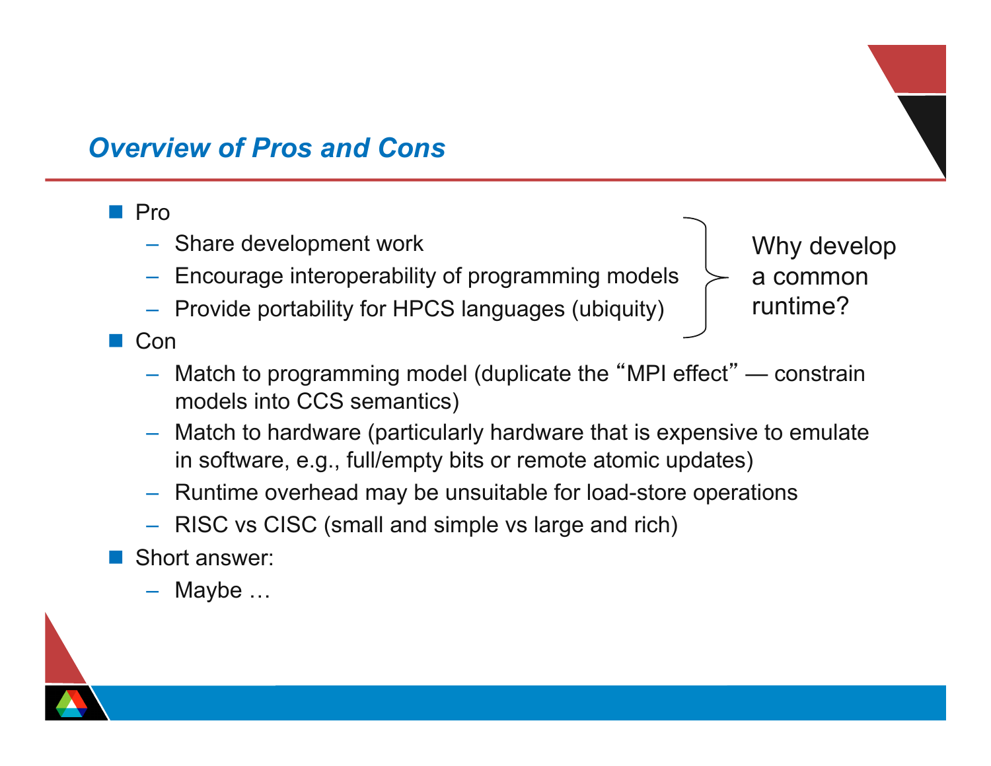#### *Overview of Pros and Cons*

#### n Pro

- Share development work
- Encourage interoperability of programming models
- Provide portability for HPCS languages (ubiquity)

Why develop a common runtime?

**n** Con

- Match to programming model (duplicate the "MPI effect" constrain models into CCS semantics)
- Match to hardware (particularly hardware that is expensive to emulate in software, e.g., full/empty bits or remote atomic updates)
- Runtime overhead may be unsuitable for load-store operations
- RISC vs CISC (small and simple vs large and rich)
- Short answer:
	- Maybe …

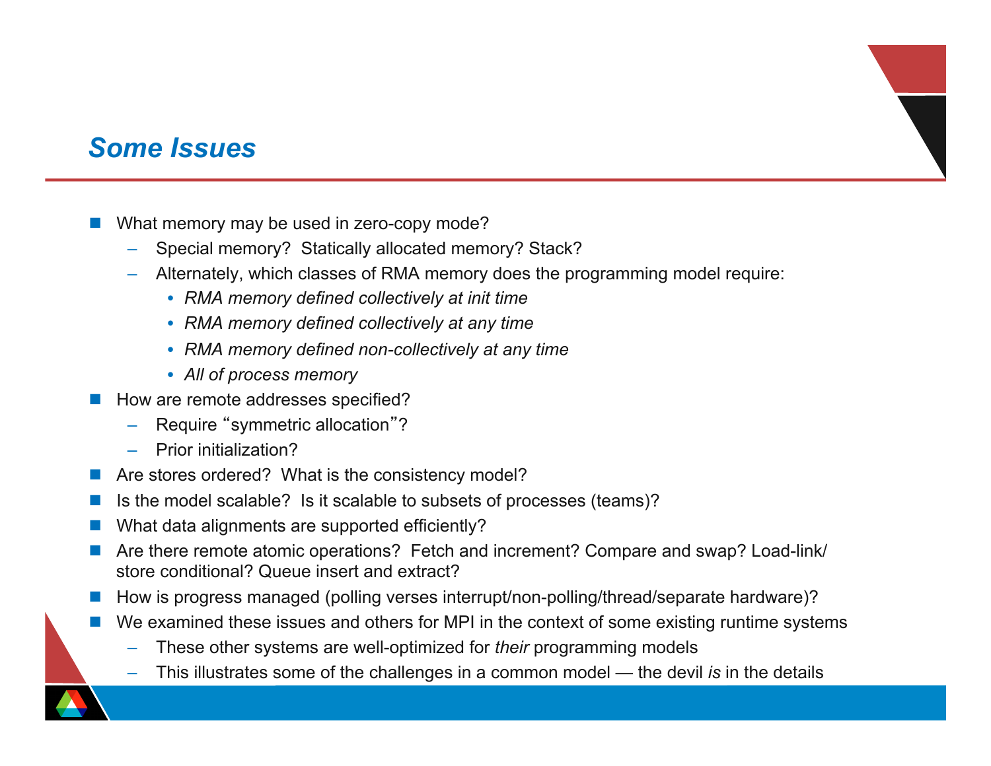#### *Some Issues*

- What memory may be used in zero-copy mode?
	- Special memory? Statically allocated memory? Stack?
	- Alternately, which classes of RMA memory does the programming model require:
		- *RMA memory defined collectively at init time*
		- *RMA memory defined collectively at any time*
		- *RMA memory defined non-collectively at any time*
		- *All of process memory*
- How are remote addresses specified?
	- Require "symmetric allocation"?
	- Prior initialization?
- $\blacksquare$  Are stores ordered? What is the consistency model?
- Is the model scalable? Is it scalable to subsets of processes (teams)?
- What data alignments are supported efficiently?
- Are there remote atomic operations? Fetch and increment? Compare and swap? Load-link/ store conditional? Queue insert and extract?
- How is progress managed (polling verses interrupt/non-polling/thread/separate hardware)?
- We examined these issues and others for MPI in the context of some existing runtime systems
	- These other systems are well-optimized for *their* programming models
	- This illustrates some of the challenges in a common model the devil *is* in the details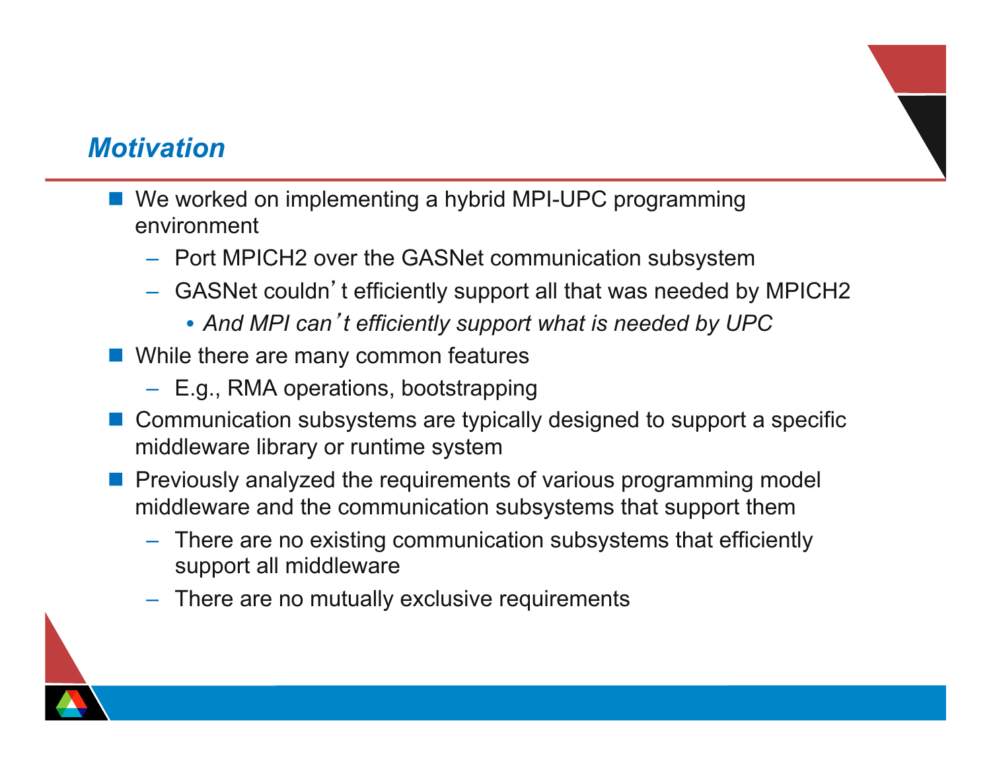#### *Motivation*

- We worked on implementing a hybrid MPI-UPC programming environment
	- Port MPICH2 over the GASNet communication subsystem
	- GASNet couldn't efficiently support all that was needed by MPICH2
		- *And MPI can*'*t efficiently support what is needed by UPC*
- **n** While there are many common features
	- E.g., RMA operations, bootstrapping
- Communication subsystems are typically designed to support a specific middleware library or runtime system
- **n** Previously analyzed the requirements of various programming model middleware and the communication subsystems that support them
	- There are no existing communication subsystems that efficiently support all middleware
	- There are no mutually exclusive requirements

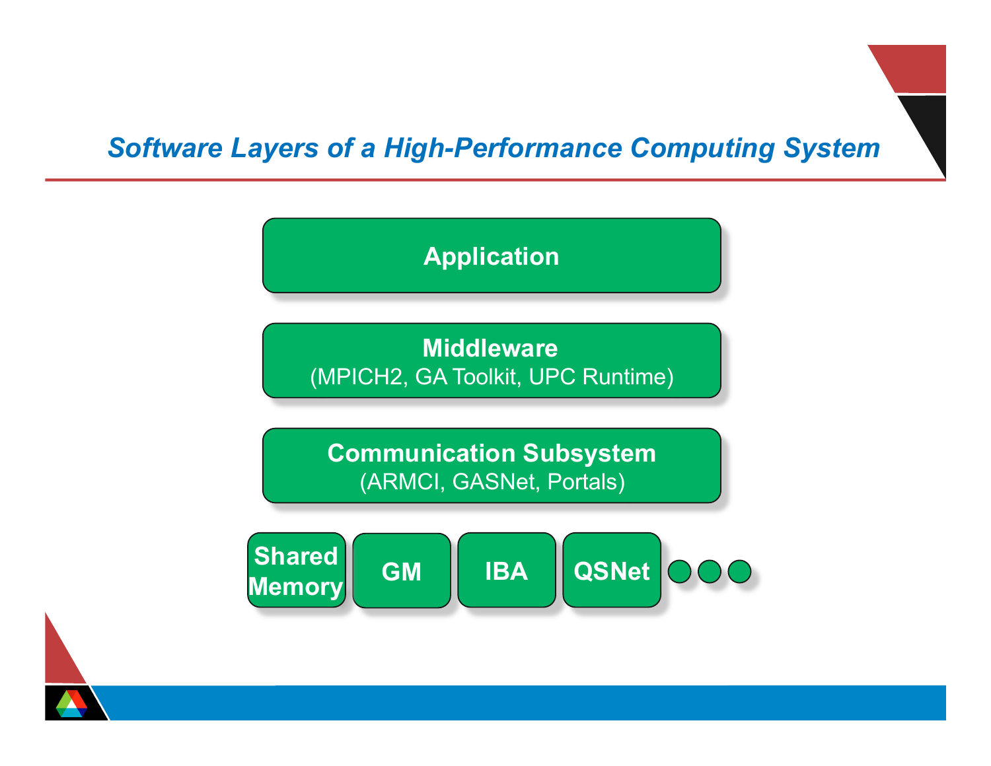### *Software Layers of a High-Performance Computing System*



**Middleware**  (MPICH2, GA Toolkit, UPC Runtime)

**Communication Subsystem**  (ARMCI, GASNet, Portals)



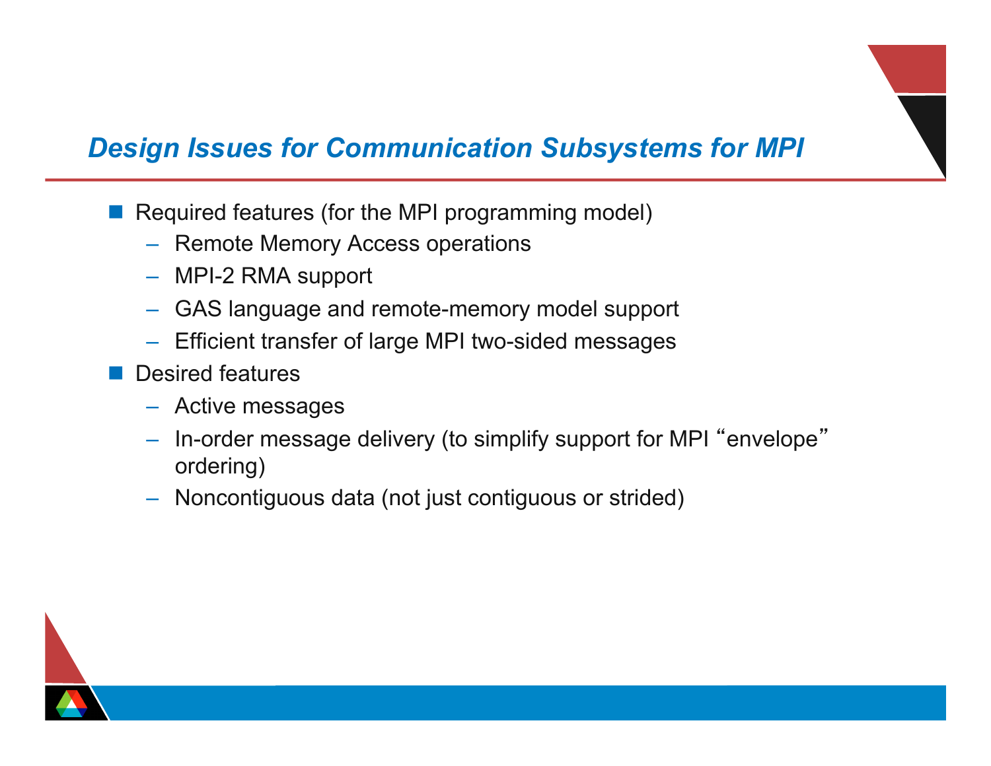#### *Design Issues for Communication Subsystems for MPI*

- Required features (for the MPI programming model)
	- Remote Memory Access operations
	- MPI-2 RMA support
	- GAS language and remote-memory model support
	- Efficient transfer of large MPI two-sided messages
	- Desired features
		- Active messages
		- In-order message delivery (to simplify support for MPI "envelope" ordering)
		- Noncontiguous data (not just contiguous or strided)

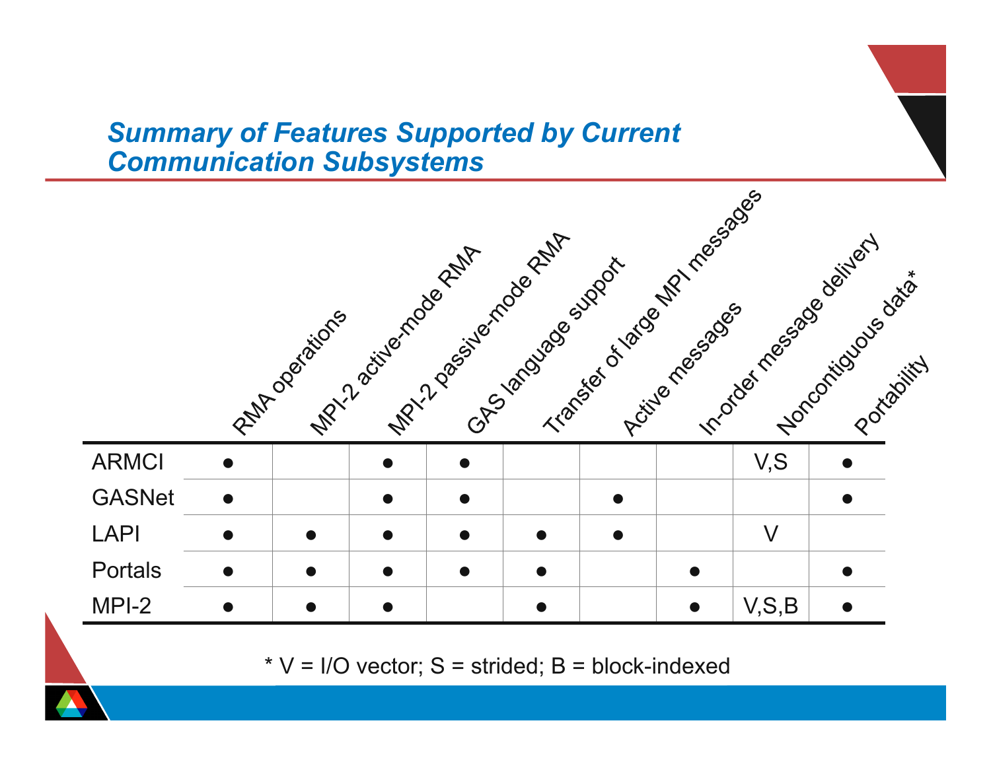#### *Summary of Features Supported by Current Communication Subsystems*



 $*$  V = I/O vector; S = strided; B = block-indexed

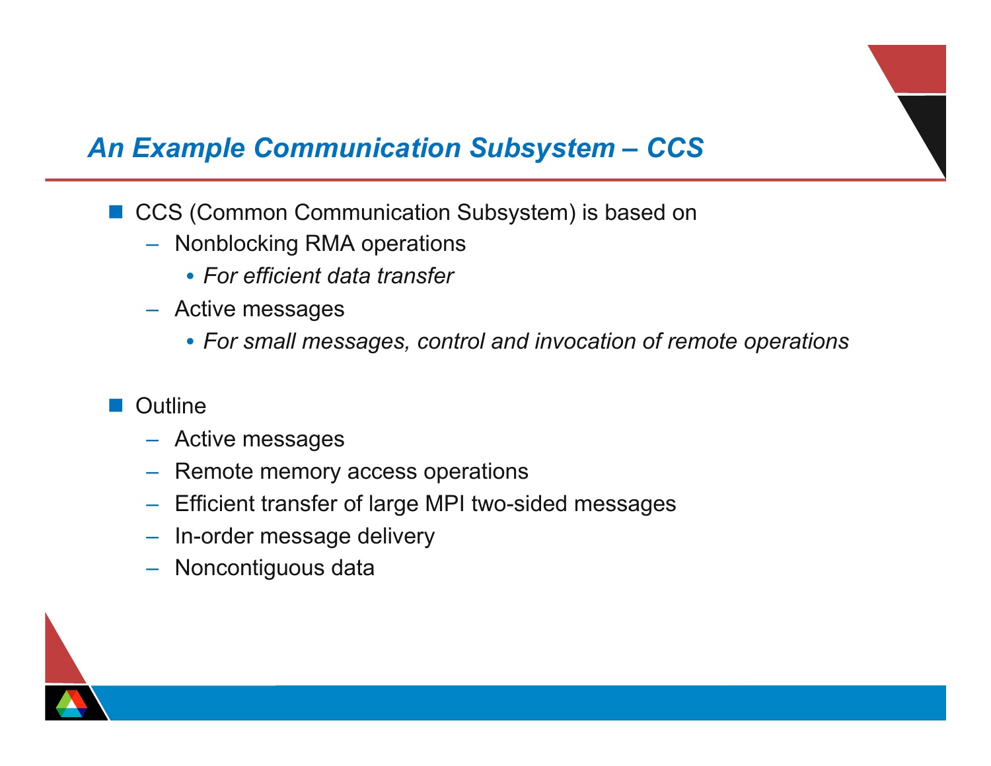#### *An Example Communication Subsystem – CCS*

- CCS (Common Communication Subsystem) is based on
	- Nonblocking RMA operations
		- *For efficient data transfer*
	- Active messages
		- *For small messages, control and invocation of remote operations*
- **■** Outline
	- Active messages
	- Remote memory access operations
	- Efficient transfer of large MPI two-sided messages
	- In-order message delivery
	- Noncontiguous data

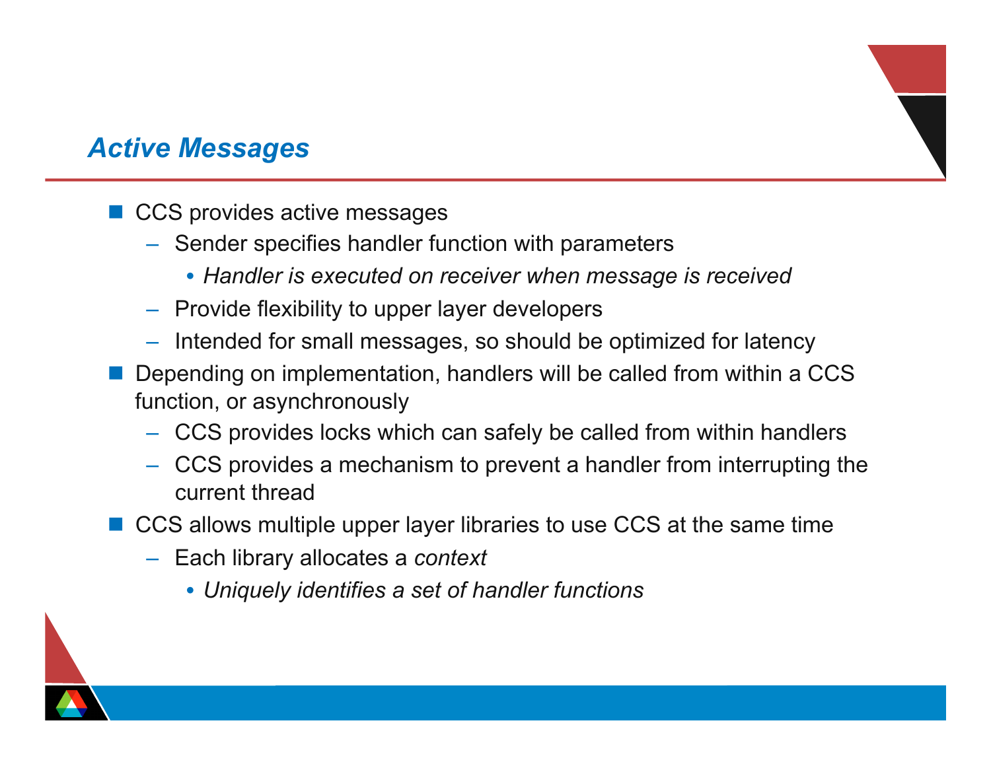#### *Active Messages*

- $\blacksquare$  CCS provides active messages
	- Sender specifies handler function with parameters
		- *Handler is executed on receiver when message is received*
	- Provide flexibility to upper layer developers
	- Intended for small messages, so should be optimized for latency
- Depending on implementation, handlers will be called from within a CCS function, or asynchronously
	- CCS provides locks which can safely be called from within handlers
	- CCS provides a mechanism to prevent a handler from interrupting the current thread
- CCS allows multiple upper layer libraries to use CCS at the same time
	- Each library allocates a *context*
		- *Uniquely identifies a set of handler functions*

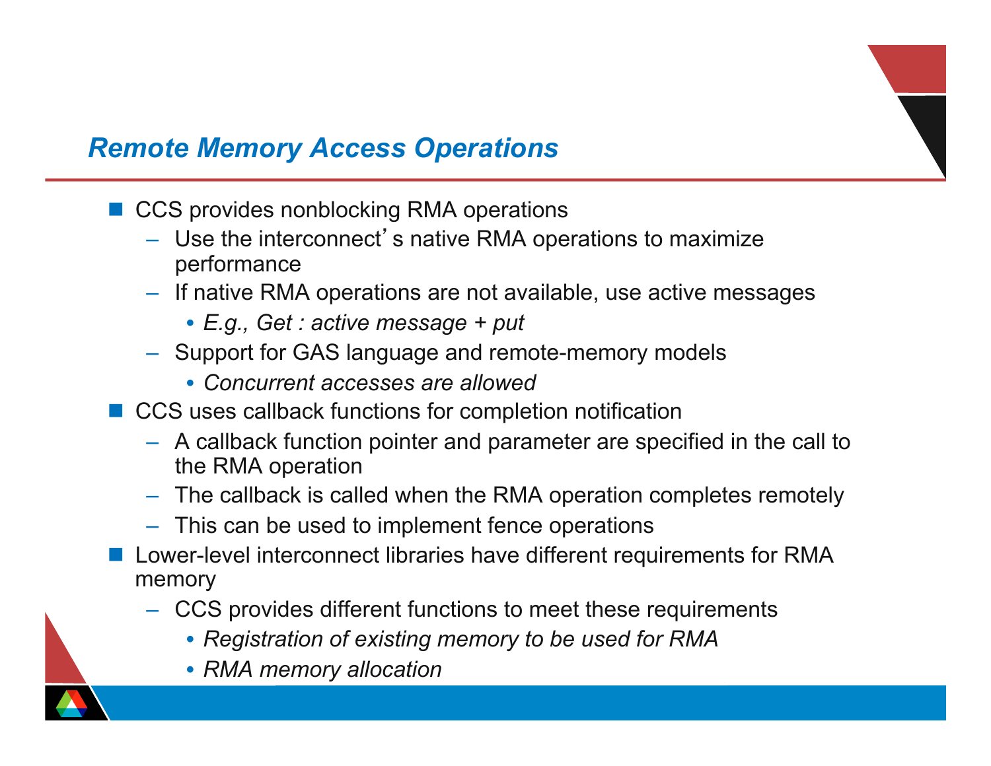## *Remote Memory Access Operations*

- CCS provides nonblocking RMA operations
	- Use the interconnect's native RMA operations to maximize performance
	- If native RMA operations are not available, use active messages
		- *E.g., Get : active message + put*
	- Support for GAS language and remote-memory models
		- *Concurrent accesses are allowed*
- CCS uses callback functions for completion notification
	- A callback function pointer and parameter are specified in the call to the RMA operation
	- The callback is called when the RMA operation completes remotely
	- This can be used to implement fence operations
- Lower-level interconnect libraries have different requirements for RMA memory
	- CCS provides different functions to meet these requirements
		- *Registration of existing memory to be used for RMA*
		- *RMA memory allocation*

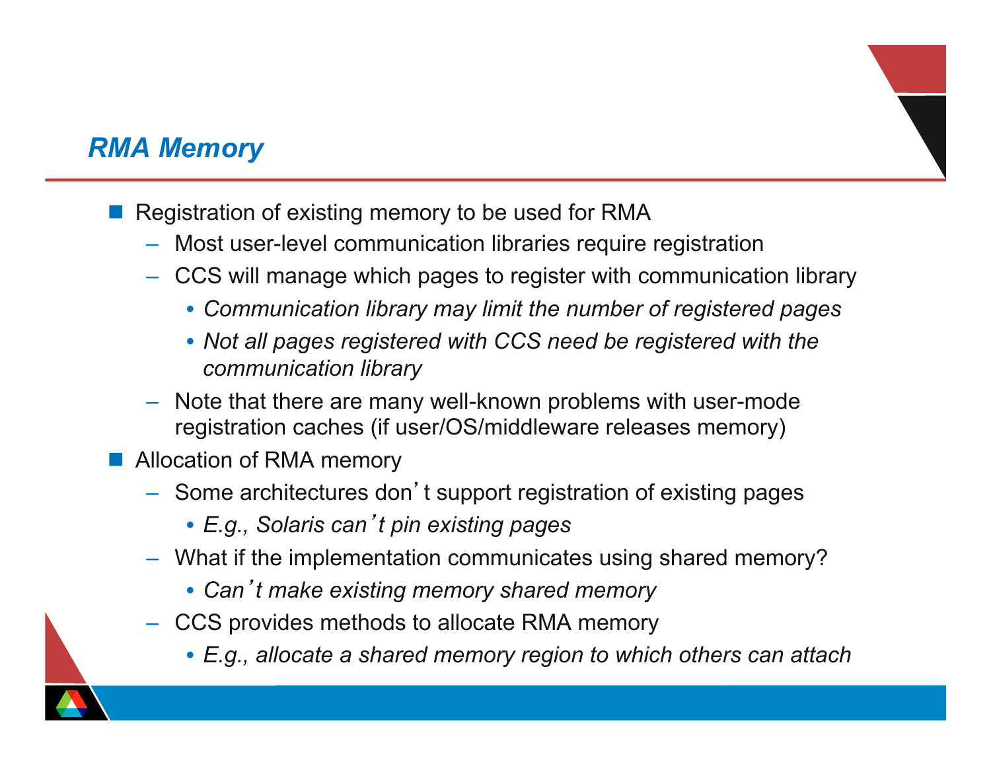#### *RMA Memory*

- Registration of existing memory to be used for RMA
	- Most user-level communication libraries require registration
	- CCS will manage which pages to register with communication library
		- *Communication library may limit the number of registered pages*
		- *Not all pages registered with CCS need be registered with the communication library*
	- Note that there are many well-known problems with user-mode registration caches (if user/OS/middleware releases memory)
- **No Allocation of RMA memory** 
	- Some architectures don't support registration of existing pages
		- *E.g., Solaris can*'*t pin existing pages*
	- What if the implementation communicates using shared memory?
		- *Can*'*t make existing memory shared memory*
	- CCS provides methods to allocate RMA memory
		- *E.g., allocate a shared memory region to which others can attach*

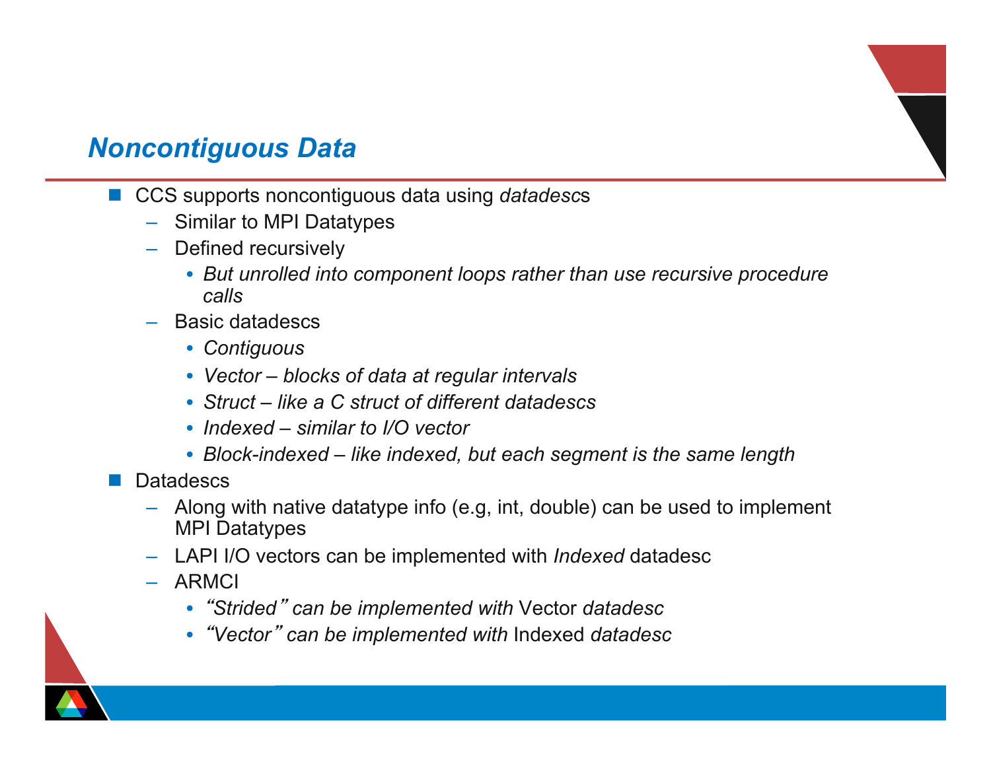#### *Noncontiguous Data*

- CCS supports noncontiguous data using *datadescs* 
	- Similar to MPI Datatypes
	- Defined recursively
		- *But unrolled into component loops rather than use recursive procedure calls*
	- Basic datadescs
		- *Contiguous*
		- *Vector blocks of data at regular intervals*
		- *Struct like a C struct of different datadescs*
		- *Indexed similar to I/O vector*
		- *Block-indexed like indexed, but each segment is the same length*
- **Datadescs** 
	- Along with native datatype info (e.g, int, double) can be used to implement MPI Datatypes
	- LAPI I/O vectors can be implemented with *Indexed* datadesc
	- ARMCI
		- "*Strided*" *can be implemented with* Vector *datadesc*
		- "*Vector*" *can be implemented with* Indexed *datadesc*

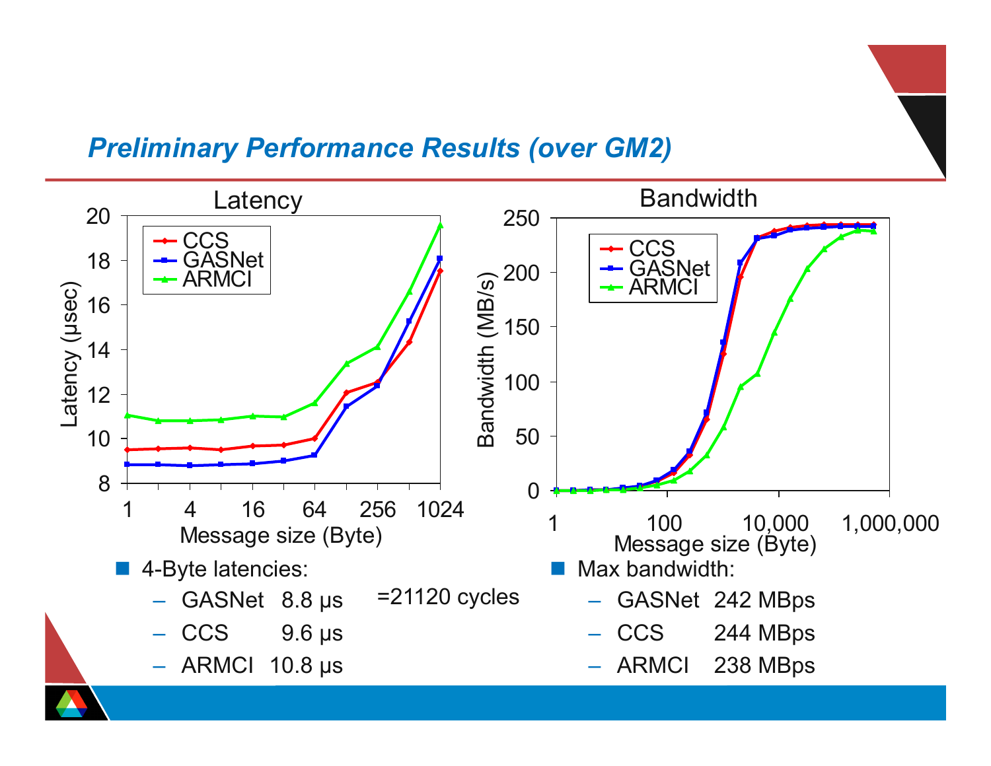#### *Preliminary Performance Results (over GM2)*

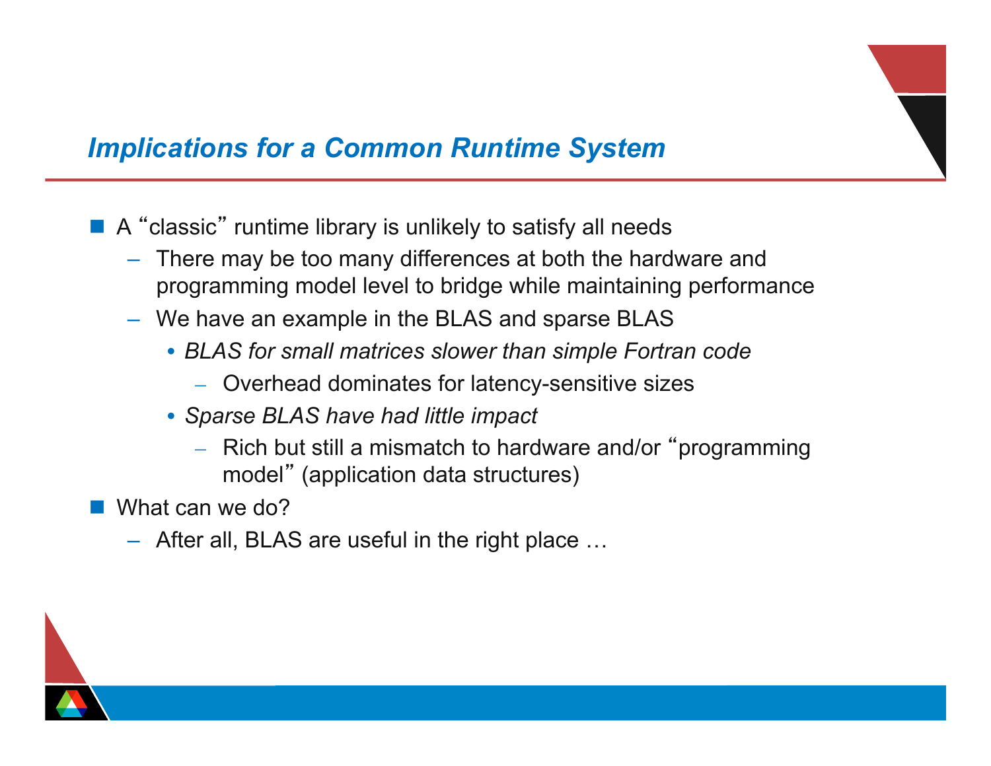#### *Implications for a Common Runtime System*

- A "classic" runtime library is unlikely to satisfy all needs
	- There may be too many differences at both the hardware and programming model level to bridge while maintaining performance
	- We have an example in the BLAS and sparse BLAS
		- *BLAS for small matrices slower than simple Fortran code* 
			- Overhead dominates for latency-sensitive sizes
		- *Sparse BLAS have had little impact* 
			- Rich but still a mismatch to hardware and/or "programming model" (application data structures)
- What can we do?
	- After all, BLAS are useful in the right place …